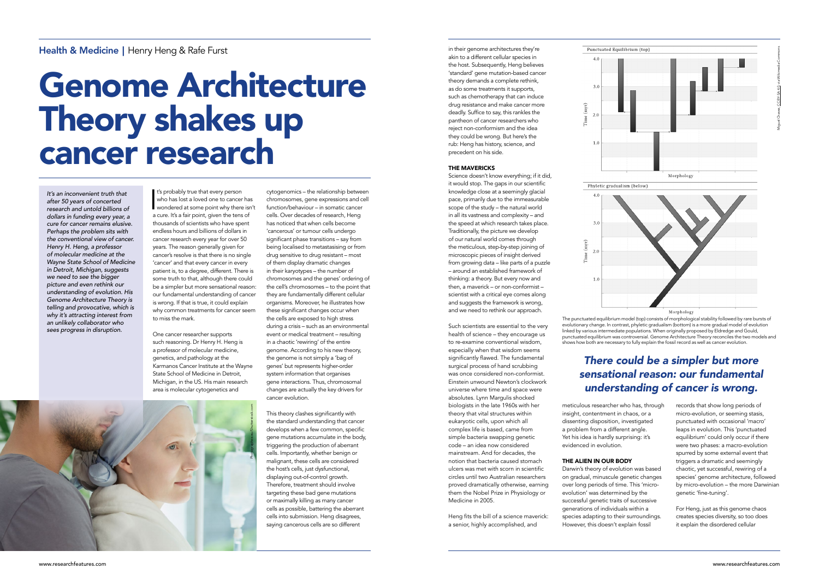It's probably true that every person<br>who has lost a loved one to cancer has<br>wondered at some point why there isn't<br>a cure. It's a fair point, given the tens of It's probably true that every person who has lost a loved one to cancer has a cure. It's a fair point, given the tens of thousands of scientists who have spent endless hours and billions of dollars in cancer research every year for over 50 years. The reason generally given for cancer's resolve is that there is no single 'cancer' and that every cancer in every patient is, to a degree, different. There is some truth to that, although there could be a simpler but more sensational reason: our fundamental understanding of cancer is wrong. If that is true, it could explain why common treatments for cancer seem to miss the mark.

One cancer researcher supports such reasoning. Dr Henry H. Heng is a professor of molecular medicine, genetics, and pathology at the Karmanos Cancer Institute at the Wayne State School of Medicine in Detroit, Michigan, in the US. His main research area is molecular cytogenetics and

cytogenomics – the relationship between chromosomes, gene expressions and cell function/behaviour – in somatic cancer cells. Over decades of research, Heng has noticed that when cells become 'cancerous' or tumour cells undergo significant phase transitions – say from being localised to metastasising or from drug sensitive to drug resistant – most of them display dramatic changes in their karyotypes – the number of chromosomes and the genes' ordering of the cell's chromosomes – to the point that they are fundamentally different cellular organisms. Moreover, he illustrates how these significant changes occur when the cells are exposed to high stress during a crisis – such as an environmental event or medical treatment – resulting in a chaotic 'rewiring' of the entire genome. According to his new theory, the genome is not simply a 'bag of genes' but represents higher-order system information that organises gene interactions. Thus, chromosomal changes are actually the key drivers for cancer evolution.

This theory clashes significantly with the standard understanding that cancer develops when a few common, specific gene mutations accumulate in the body, triggering the production of aberrant cells. Importantly, whether benign or malignant, these cells are considered the host's cells, just dysfunctional, displaying out-of-control growth. Therefore, treatment should involve targeting these bad gene mutations or maximally killing as many cancer cells as possible, battering the aberrant cells into submission. Heng disagrees, saying cancerous cells are so different

## Health & Medicine | Henry Heng & Rafe Furst

# Genome Architecture Theory shakes up cancer research

*It's an inconvenient truth that after 50 years of concerted research and untold billions of dollars in funding every year, a cure for cancer remains elusive. Perhaps the problem sits with the conventional view of cancer. Henry H. Heng, a professor of molecular medicine at the Wayne State School of Medicine in Detroit, Michigan, suggests we need to see the bigger picture and even rethink our understanding of evolution. His Genome Architecture Theory is telling and provocative, which is why it's attracting interest from an unlikely collaborator who sees progress in disruption.*

in their genome architectures they're akin to a different cellular species in the host. Subsequently, Heng believes 'standard' gene mutation-based cancer theory demands a complete rethink, as do some treatments it supports, such as chemotherapy that can induce drug resistance and make cancer more deadly. Suffice to say, this rankles the pantheon of cancer researchers who reject non-conformism and the idea they could be wrong. But here's the rub: Heng has history, science, and precedent on his side.

#### THE MAVERICKS

Science doesn't know everything; if it did, it would stop. The gaps in our scientific knowledge close at a seemingly glacial pace, primarily due to the immeasurable scope of the study – the natural world in all its vastness and complexity – and the speed at which research takes place. Traditionally, the picture we develop of our natural world comes through the meticulous, step-by-step joining of microscopic pieces of insight derived from growing data – like parts of a puzzle – around an established framework of thinking: a theory. But every now and then, a maverick – or non-conformist – scientist with a critical eye comes along and suggests the framework is wrong, and we need to rethink our approach.

Such scientists are essential to the very health of science – they encourage us to re-examine conventional wisdom, especially when that wisdom seems significantly flawed. The fundamental surgical process of hand scrubbing was once considered non-conformist. Einstein unwound Newton's clockwork universe where time and space were absolutes. Lynn Margulis shocked biologists in the late 1960s with her theory that vital structures within eukaryotic cells, upon which all complex life is based, came from simple bacteria swapping genetic code – an idea now considered mainstream. And for decades, the notion that bacteria caused stomach ulcers was met with scorn in scientific circles until two Australian researchers proved dramatically otherwise, earning them the Nobel Prize in Physiology or Medicine in 2005.

Heng fits the bill of a science maverick: a senior, highly accomplished, and

meticulous researcher who has, through insight, contentment in chaos, or a dissenting disposition, investigated a problem from a different angle. Yet his idea is hardly surprising: it's evidenced in evolution.

## THE ALIEN IN OUR BODY

Darwin's theory of evolution was based on gradual, minuscule genetic changes over long periods of time. This 'microevolution' was determined by the successful genetic traits of successive generations of individuals within a species adapting to their surroundings. However, this doesn't explain fossil

records that show long periods of micro-evolution, or seeming stasis, punctuated with occasional 'macro' leaps in evolution. This 'punctuated equilibrium' could only occur if there were two phases: a macro-evolution spurred by some external event that triggers a dramatic and seemingly chaotic, yet successful, rewiring of a species' genome architecture, followed by micro-evolution – the more Darwinian genetic 'fine-tuning'.

For Heng, just as this genome chaos creates species diversity, so too does it explain the disordered cellular

## *There could be a simpler but more sensational reason: our fundamental understanding of cancer is wrong.*





The punctuated equilibrium model (top) consists of morphological stability followed by rare bursts of evolutionary change. In contrast, phyletic gradualism (bottom) is a more gradual model of evolution linked by various intermediate populations. When originally proposed by Eldredge and Gould, punctuated equilibrium was controversial. Genome Architecture Theory reconciles the two models and shows how both are necessary to fully explain the fossil record as well as cancer evolution.